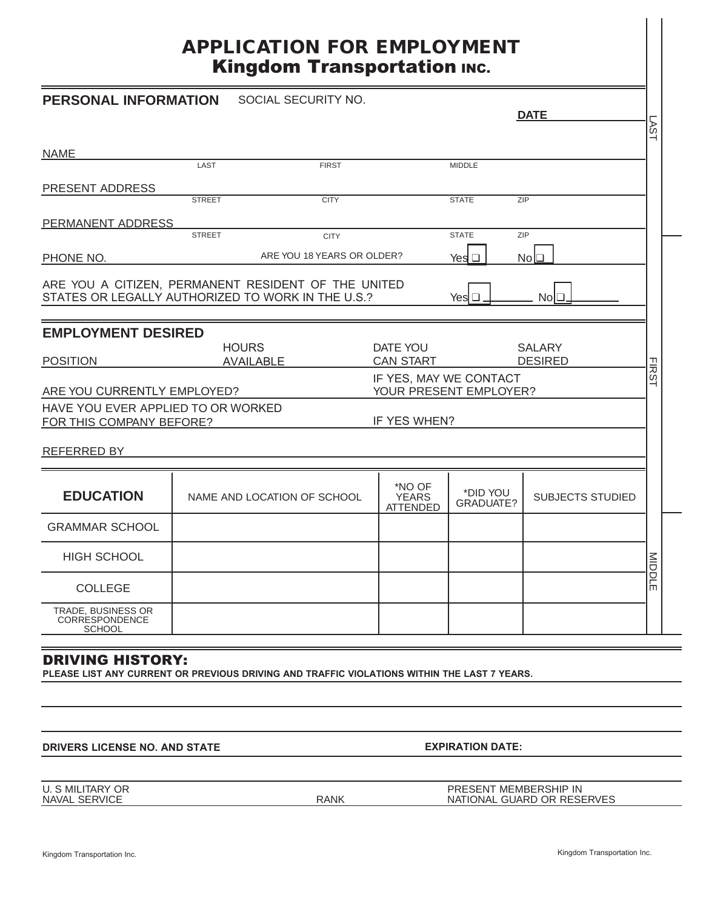# **APPLICATION FOR EMPLOYMENT** Kingdom Transportation INC.

| ⊣<br><b>NAME</b><br>LAST<br><b>FIRST</b><br><b>MIDDLE</b><br>PRESENT ADDRESS<br><b>STREET</b><br><b>CITY</b><br><b>STATE</b><br>ZIP<br>PERMANENT ADDRESS<br>ZIP<br><b>STREET</b><br><b>STATE</b><br><b>CITY</b><br>ARE YOU 18 YEARS OR OLDER?<br>PHONE NO.<br>$No \Box$<br>Yesl □<br>ARE YOU A CITIZEN, PERMANENT RESIDENT OF THE UNITED<br>STATES OR LEGALLY AUTHORIZED TO WORK IN THE U.S.?<br>Yes $\square$<br>NoI❑<br><b>EMPLOYMENT DESIRED</b><br><b>HOURS</b><br>DATE YOU<br><b>SALARY</b><br><b>CAN START</b><br><b>POSITION</b><br><b>DESIRED</b><br><b>AVAILABLE</b> |  |  |  |  |  |  |
|-------------------------------------------------------------------------------------------------------------------------------------------------------------------------------------------------------------------------------------------------------------------------------------------------------------------------------------------------------------------------------------------------------------------------------------------------------------------------------------------------------------------------------------------------------------------------------|--|--|--|--|--|--|
|                                                                                                                                                                                                                                                                                                                                                                                                                                                                                                                                                                               |  |  |  |  |  |  |
|                                                                                                                                                                                                                                                                                                                                                                                                                                                                                                                                                                               |  |  |  |  |  |  |
|                                                                                                                                                                                                                                                                                                                                                                                                                                                                                                                                                                               |  |  |  |  |  |  |
|                                                                                                                                                                                                                                                                                                                                                                                                                                                                                                                                                                               |  |  |  |  |  |  |
|                                                                                                                                                                                                                                                                                                                                                                                                                                                                                                                                                                               |  |  |  |  |  |  |
|                                                                                                                                                                                                                                                                                                                                                                                                                                                                                                                                                                               |  |  |  |  |  |  |
|                                                                                                                                                                                                                                                                                                                                                                                                                                                                                                                                                                               |  |  |  |  |  |  |
|                                                                                                                                                                                                                                                                                                                                                                                                                                                                                                                                                                               |  |  |  |  |  |  |
|                                                                                                                                                                                                                                                                                                                                                                                                                                                                                                                                                                               |  |  |  |  |  |  |
| <b>FIRS</b><br>IF YES, MAY WE CONTACT<br>YOUR PRESENT EMPLOYER?<br>ARE YOU CURRENTLY EMPLOYED?                                                                                                                                                                                                                                                                                                                                                                                                                                                                                |  |  |  |  |  |  |
| HAVE YOU EVER APPLIED TO OR WORKED<br>IF YES WHEN?<br>FOR THIS COMPANY BEFORE?                                                                                                                                                                                                                                                                                                                                                                                                                                                                                                |  |  |  |  |  |  |
| REFERRED BY                                                                                                                                                                                                                                                                                                                                                                                                                                                                                                                                                                   |  |  |  |  |  |  |
| *NO OF<br>*DID YOU<br><b>EDUCATION</b><br>NAME AND LOCATION OF SCHOOL<br><b>YEARS</b><br><b>SUBJECTS STUDIED</b><br><b>GRADUATE?</b><br><b>ATTENDED</b>                                                                                                                                                                                                                                                                                                                                                                                                                       |  |  |  |  |  |  |
| <b>GRAMMAR SCHOOL</b>                                                                                                                                                                                                                                                                                                                                                                                                                                                                                                                                                         |  |  |  |  |  |  |
| <b>HIGH SCHOOL</b><br>MIDDLE                                                                                                                                                                                                                                                                                                                                                                                                                                                                                                                                                  |  |  |  |  |  |  |
| <b>COLLEGE</b>                                                                                                                                                                                                                                                                                                                                                                                                                                                                                                                                                                |  |  |  |  |  |  |
| TRADE, BUSINESS OR<br>CORRESPONDENCE<br><b>SCHOOL</b>                                                                                                                                                                                                                                                                                                                                                                                                                                                                                                                         |  |  |  |  |  |  |
| <b>DRIVING HISTORY:</b><br>PLEASE LIST ANY CURRENT OR PREVIOUS DRIVING AND TRAFFIC VIOLATIONS WITHIN THE LAST 7 YEARS.                                                                                                                                                                                                                                                                                                                                                                                                                                                        |  |  |  |  |  |  |
|                                                                                                                                                                                                                                                                                                                                                                                                                                                                                                                                                                               |  |  |  |  |  |  |
| <b>EXPIRATION DATE:</b><br><b>DRIVERS LICENSE NO. AND STATE</b>                                                                                                                                                                                                                                                                                                                                                                                                                                                                                                               |  |  |  |  |  |  |
| <b>U. S MILITARY OR</b><br>PRESENT MEMBERSHIP IN<br>NAVAL SERVICE<br><b>RANK</b><br>NATIONAL GUARD OR RESERVES                                                                                                                                                                                                                                                                                                                                                                                                                                                                |  |  |  |  |  |  |
| Kingdom Transportation Inc.<br>Kingdom Transportation Inc.                                                                                                                                                                                                                                                                                                                                                                                                                                                                                                                    |  |  |  |  |  |  |

## DRIVING HISTORY: